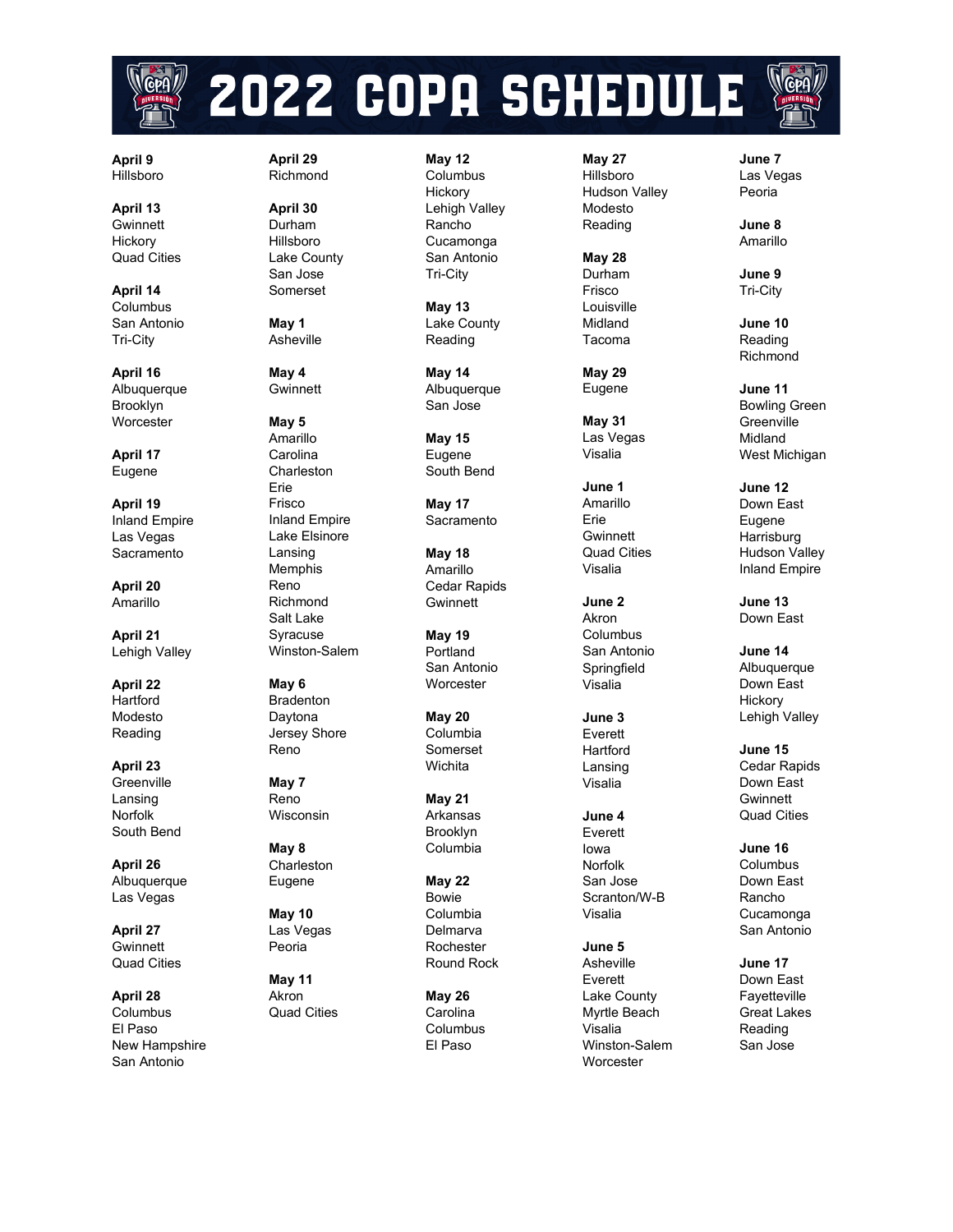

# 2022 COPA SCHEDULE



**April 13** Gwinnett **Hickory** Quad Cities

**April 14** Columbus San Antonio Tri -City

**April 16** Albuquerque Brooklyn **Worcester** 

**April 17** Eugene

**April 19** Inland Empire Las Vegas Sacramento

**April 20** Amarillo

**April 21** Lehigh Valley

**April 22** Hartford Modesto Reading

**April 23 Greenville** Lansing **Norfolk** South Bend

**April 26** Albuquerque Las Vegas

**April 27 Gwinnett** Quad Cities

**April 28 Columbus** El Paso New Hampshire San Antonio

**April 29** Richmond

**April 30** Durham Hill sboro Lake County San Jose Somerset

**May 1** Asheville

**May 4 Gwinnett** 

#### **May 5** Amarillo

Carolina **Charleston** Erie Frisco Inland Empire Lake Elsinore Lansing Memphis Reno Richmond Salt Lake Syracuse

**May 6** Bradenton Daytona Jersey Shore Reno

Winston -Salem

**May 7** Reno Wisconsin

**May 8 Charleston** Eugene

**May 10** Las Vegas Peoria

**May 11** Akron Quad Cities **May 12** Columbus **Hickory** Lehigh Valley Rancho Cucamonga San Antonio Tri -City

> **May 13** Lake County Reading

**May 14 Albuquerque** San Jose

**May 15** Eugene South Bend

**May 17** Sacramento

**May 18** Amarillo Cedar Rapids **Gwinnett** 

**May 19** Portland San Antonio **Worcester** 

**May 20** Columbia Somerset **Wichita** 

**May 21** Arkansas Brooklyn Columbia

**May 22** Bowie Columbia Delmarva Rochester Round Rock

**May 26** Carolina Columbus El Paso

**May 27** Hillsboro Hudson Valley Modesto Reading

**May 28** Durham Frisco Louisville Midland Tacoma

**May 29** Eugene

**May 31**  Las Vegas Visalia

**June 1** Amarillo Erie **Gwinnett** Quad Cities Visalia

**June 2** Akron Columbus San Antonio Springfield Visalia

**June 3** Everett **Hartford** Lansing Visalia

**June 4** Everett Iowa Norfolk San Jose Scranton/W - B

Visalia

**June 5** Asheville Everett Lake County Myrtle Beach Visalia Winston -Salem **Worcester** 

**June 7** Las Vegas Peoria

**June 8** Amarillo

**June 9** Tri -City

**June 10** Reading Richmond

**June 11** Bowling Green **Greenville** Midland West Michigan

**June 12** Down East Eugene **Harrisburg** Hudson Valley Inland Empire

**June 13** Down East

**June 14** Albuquerque Down East **Hickory** Lehigh Valley

**June 15** Cedar Rapids Down East **Gwinnett** Quad Cities

**June 16** Columbus Down East Rancho Cucamonga San Antonio

**June 17** Down East Fayetteville Great Lakes Reading San Jose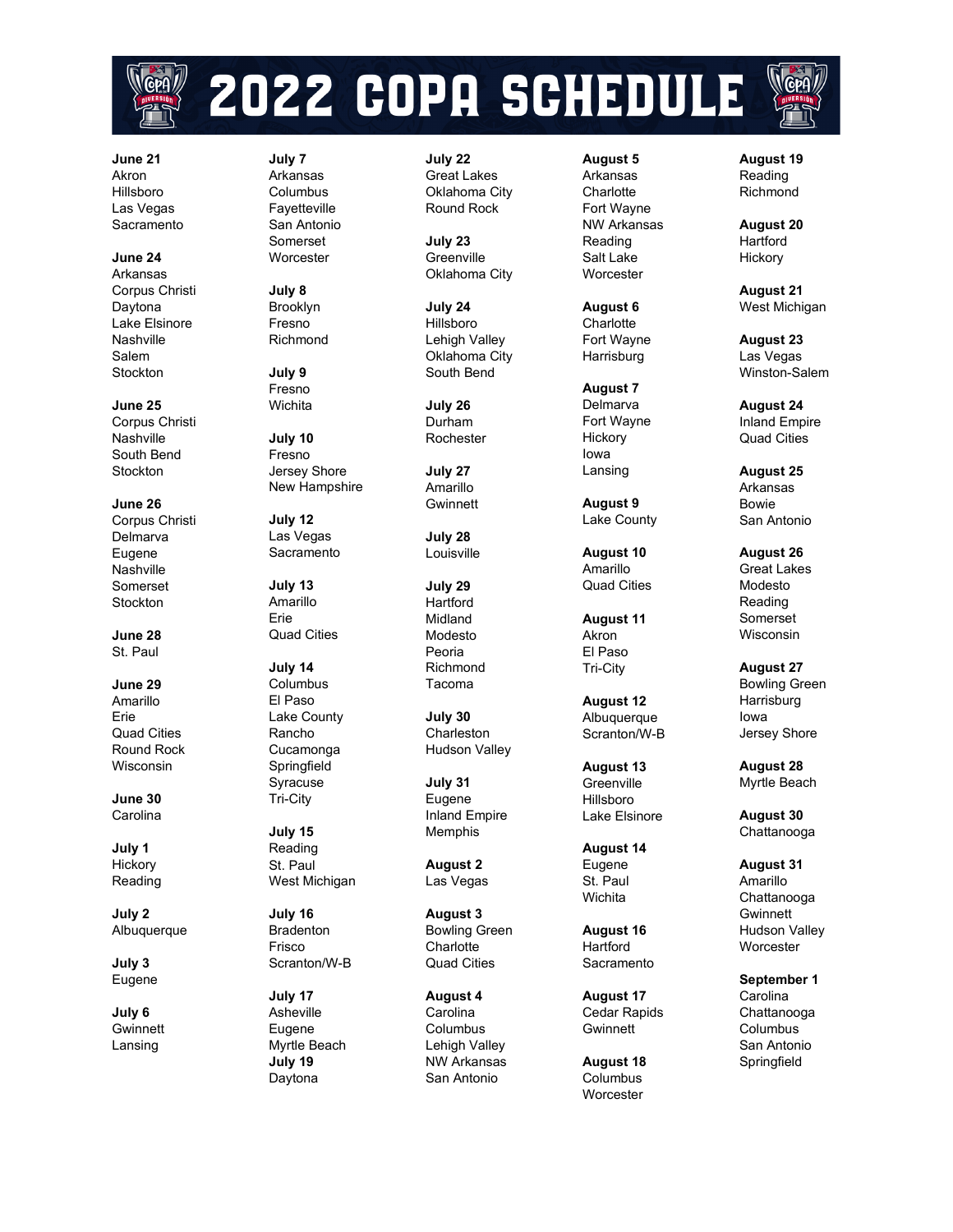

# 2022 COPA SCHEDULE

**June 21** Akron Hillsboro Las Vegas **Sacramento** 

**June 24** Arkansas Corpus Christi Daytona Lake Elsinore Nashville Salem Stockton

**June 25** Corpus Christi Nashville South Bend Stockton

**June 26** Corpus Christi Delmarva Eugene Nashville Somerset **Stockton** 

**June 28** St. Paul

**June 29** Amarillo Erie Quad Cities Round Rock Wisconsin

**June 30** Carolina

**July 1 Hickory** Reading

**July 2** Albuquerque

**July 3** Eugene

**July 6 Gwinnett** Lansing

**July 7** Arkansas Columbus Fayetteville San Antonio Somerset **Worcester** 

**July 8** Brooklyn Fresno Richmond

**July 9** Fresno **Wichita** 

**July 10** Fresno Jersey Shore New Hampshire

**July 12** Las Vegas **Sacramento** 

**July 13** Amarillo Erie Quad Cities

**July 14** Columbus El Paso Lake County Rancho Cucamonga Springfield Syracuse Tri -City

**July 15** Reading St. Paul West Michigan

**July 16** Bradenton Frisco Scranton/W - B

**July 17** Asheville Eugene Myrtle Beach **July 19** Daytona

**July 22** Great Lakes Oklahoma City Round Rock

**July 23 Greenville** Oklahoma City

**July 24** Hillsboro Lehigh Valley Oklahoma City South Bend

**July 26** Durham Rochester

**July 27** Amarillo **Gwinnett** 

**July 28** Louisville

**July 29 Hartford** Midland Modesto Peoria Richmond Tacoma

**July 30** Charleston Hudson Valley

**July 31** Eugene Inland Empire Memphis

**August 2** Las Vegas

**August 3** Bowling Green **Charlotte** Quad Cities

**August 4 Carolina** Columbus Lehigh Valley NW Arkansas San Antonio

**August 5** Arkansas **Charlotte** Fort Wayne NW Arkansas Reading Salt Lake **Worcester** 

**August 6 Charlotte** Fort Wayne Harrisburg

**August 7** Delmarva Fort Wayne **Hickory** Iowa Lansing

**August 9** Lake County

**August 10** Amarillo Quad Cities

**August 11** Akron El Paso Tri -City

**August 12** Albuquerque Scranton/W - B

**August 13 Greenville** Hillsboro Lake Elsinore

**August 14** Eugene St. Pau l Wichita

**August 16 Hartford Sacramento** 

**August 17** Cedar Rapids Gwinnett

**August 18** Columbus **Worcester** 

**August 19** Reading Richmond

**August 20 Hartford Hickory** 

**August 21** West Michigan

**August 23** Las Vegas Winston -Salem

**August 24** Inland Empire Quad Cities

**August 25** Arkansas Bowie San Antonio

**August 26** Great Lakes Modesto Reading Somerset Wisconsin

**August 27** Bowling Green **Harrisburg** Iowa Jersey Shore

**August 28** Myrtle Beach

**August 30** Chattanooga

**August 31** Amarillo Chattanooga **Gwinnett** Hudson Valley **Worcester** 

**September 1** Carolina Chattanooga Columbus San Antonio **Springfield**